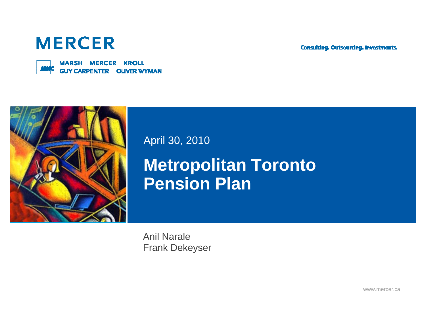**Consulting. Outsourcing. Investments.** 

## **MERCER**



**MARSH MERCER KROLL GUY CARPENTER OLIVER WYMAN** 



April 30, 2010

**Metropolitan Toronto Pension Plan**

Anil Narale Frank Dekeyser

www.mercer.ca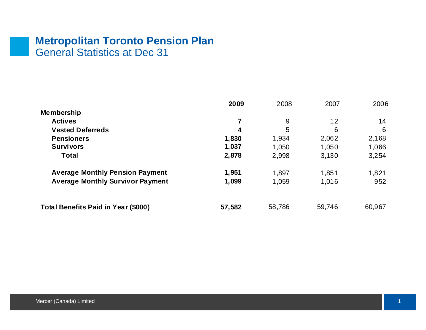#### **Metropolitan Toronto Pension Plan** General Statistics at Dec 31

|                                         | 2009   | 2008   | 2007    | 2006   |
|-----------------------------------------|--------|--------|---------|--------|
| <b>Membership</b>                       |        |        |         |        |
| <b>Actives</b>                          |        | 9      | $12 \,$ | 14     |
| <b>Vested Deferreds</b>                 | 4      | 5      | 6       | 6      |
| <b>Pensioners</b>                       | 1,830  | 1,934  | 2,062   | 2,168  |
| <b>Survivors</b>                        | 1,037  | 1,050  | 1,050   | 1,066  |
| <b>Total</b>                            | 2,878  | 2,998  | 3.130   | 3,254  |
| <b>Average Monthly Pension Payment</b>  | 1,951  | 1,897  | 1,851   | 1,821  |
| <b>Average Monthly Survivor Payment</b> | 1,099  | 1,059  | 1,016   | 952    |
|                                         |        |        |         |        |
| Total Benefits Paid in Year (\$000)     | 57,582 | 58,786 | 59,746  | 60,967 |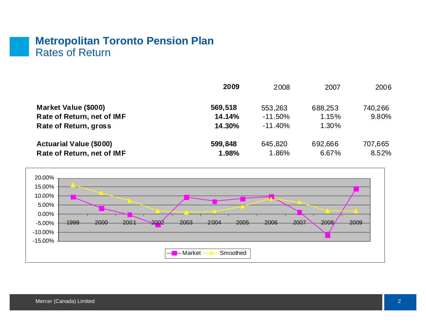#### **Metropolitan Toronto Pension Plan** Rates of Return

|                                | 2009    | 2008       | 2007    | 2006    |
|--------------------------------|---------|------------|---------|---------|
| Market Value (\$000)           | 569,518 | 553,263    | 688,253 | 740,266 |
| Rate of Return, net of IMF     | 14.14%  | $-11.50\%$ | 1.15%   | 9.80%   |
| <b>Rate of Return, gross</b>   | 14.30%  | $-11.40\%$ | 1.30%   |         |
| <b>Actuarial Value (\$000)</b> | 599,848 | 645,820    | 692,666 | 707,665 |
| Rate of Return, net of IMF     | 1.98%   | 1.86%      | 6.67%   | 8.52%   |

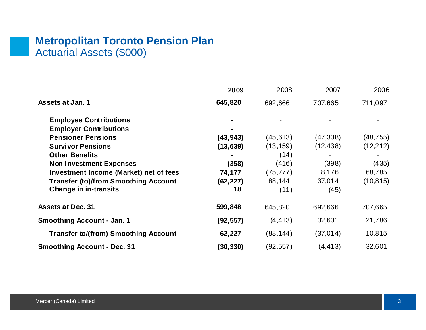## **Metropolitan Toronto Pension Plan** Actuarial Assets (\$000)

|                                             | 2009      | 2008      | 2007      | 2006      |
|---------------------------------------------|-----------|-----------|-----------|-----------|
| Assets at Jan. 1                            | 645,820   | 692,666   | 707,665   | 711,097   |
| <b>Employee Contributions</b>               |           |           |           |           |
| <b>Employer Contributions</b>               |           |           |           |           |
| <b>Pensioner Pensions</b>                   | (43, 943) | (45, 613) | (47,308)  | (48, 755) |
| <b>Survivor Pensions</b>                    | (13, 639) | (13, 159) | (12, 438) | (12, 212) |
| <b>Other Benefits</b>                       |           | (14)      |           |           |
| <b>Non Investment Expenses</b>              | (358)     | (416)     | (398)     | (435)     |
| Investment Income (Market) net of fees      | 74,177    | (75, 777) | 8,176     | 68,785    |
| <b>Transfer (to)/from Smoothing Account</b> | (62, 227) | 88,144    | 37,014    | (10, 815) |
| <b>Change in in-transits</b>                | 18        | (11)      | (45)      |           |
| <b>Assets at Dec. 31</b>                    | 599,848   | 645,820   | 692,666   | 707,665   |
| <b>Smoothing Account - Jan. 1</b>           | (92, 557) | (4, 413)  | 32,601    | 21,786    |
| <b>Transfer to/(from) Smoothing Account</b> | 62,227    | (88, 144) | (37,014)  | 10,815    |
| <b>Smoothing Account - Dec. 31</b>          | (30, 330) | (92, 557) | (4, 413)  | 32,601    |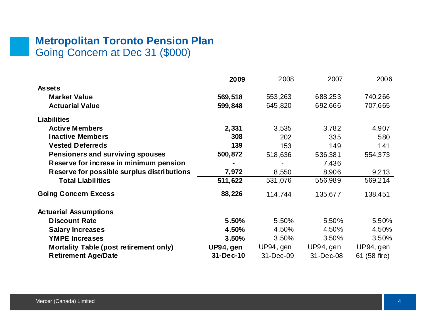## **Metropolitan Toronto Pension Plan** Going Concern at Dec 31 (\$000)

|                                            | 2009      | 2008      | 2007      | 2006         |
|--------------------------------------------|-----------|-----------|-----------|--------------|
| <b>Assets</b>                              |           |           |           |              |
| <b>Market Value</b>                        | 569,518   | 553,263   | 688,253   | 740,266      |
| <b>Actuarial Value</b>                     | 599,848   | 645,820   | 692,666   | 707,665      |
| <b>Liabilities</b>                         |           |           |           |              |
| <b>Active Members</b>                      | 2,331     | 3,535     | 3,782     | 4,907        |
| <b>Inactive Members</b>                    | 308       | 202       | 335       | 580          |
| <b>Vested Deferreds</b>                    | 139       | 153       | 149       | 141          |
| Pensioners and surviving spouses           | 500,872   | 518,636   | 536,381   | 554,373      |
| Reserve for increse in minimum pension     |           |           | 7,436     |              |
| Reserve for possible surplus distributions | 7,972     | 8,550     | 8,906     | 9,213        |
| <b>Total Liabilities</b>                   | 511,622   | 531,076   | 556,989   | 569,214      |
| <b>Going Concern Excess</b>                | 88,226    | 114,744   | 135,677   | 138,451      |
| <b>Actuarial Assumptions</b>               |           |           |           |              |
| <b>Discount Rate</b>                       | 5.50%     | 5.50%     | 5.50%     | 5.50%        |
| <b>Salary Increases</b>                    | 4.50%     | 4.50%     | 4.50%     | 4.50%        |
| <b>YMPE Increases</b>                      | 3.50%     | 3.50%     | 3.50%     | 3.50%        |
| Mortality Table (post retirement only)     | UP94, gen | UP94, gen | UP94, gen | UP94, gen    |
| <b>Retirement Age/Date</b>                 | 31-Dec-10 | 31-Dec-09 | 31-Dec-08 | 61 (58 fire) |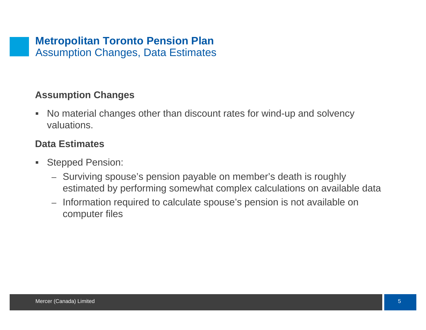#### **Assumption Changes**

 $\blacksquare$  No material changes other than discount rates for wind-up and solvency valuations.

#### **Data Estimates**

- $\blacksquare$  Stepped Pension:
	- Surviving spouse's pension payable on member's death is roughly estimated by performing somewhat complex calculations on available data
	- Information required to calculate spouse's pension is not available on computer files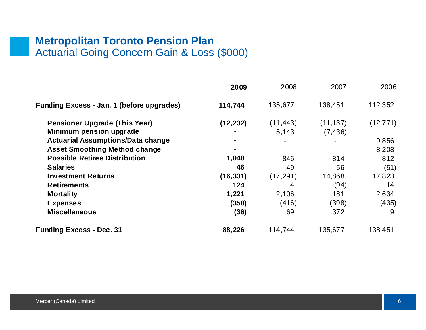#### **Metropolitan Toronto Pension Plan** Actuarial Going Concern Gain & Loss (\$000)

|                                                                 | 2009      | 2008               | 2007                  | 2006      |
|-----------------------------------------------------------------|-----------|--------------------|-----------------------|-----------|
| Funding Excess - Jan. 1 (before upgrades)                       | 114,744   | 135,677            | 138,451               | 112,352   |
| <b>Pensioner Upgrade (This Year)</b><br>Minimum pension upgrade | (12, 232) | (11, 443)<br>5,143 | (11, 137)<br>(7, 436) | (12, 771) |
| <b>Actuarial Assumptions/Data change</b>                        |           |                    |                       | 9,856     |
| <b>Asset Smoothing Method change</b>                            |           |                    |                       | 8,208     |
| <b>Possible Retiree Distribution</b>                            | 1,048     | 846                | 814                   | 812       |
| <b>Salaries</b>                                                 | 46        | 49                 | 56                    | (51)      |
| <b>Investment Returns</b>                                       | (16, 331) | (17, 291)          | 14,868                | 17,823    |
| <b>Retirements</b>                                              | 124       | 4                  | (94)                  | 14        |
| <b>Mortality</b>                                                | 1,221     | 2,106              | 181                   | 2,634     |
| <b>Expenses</b>                                                 | (358)     | (416)              | (398)                 | (435)     |
| <b>Miscellaneous</b>                                            | (36)      | 69                 | 372                   | -9        |
| <b>Funding Excess - Dec. 31</b>                                 | 88,226    | 114,744            | 135,677               | 138,451   |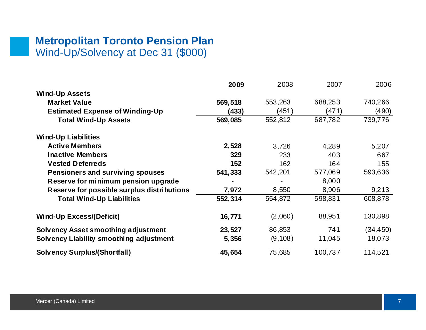#### **Metropolitan Toronto Pension Plan** Wind-Up/Solvency at Dec 31 (\$000)

|                                            | 2009    | 2008     | 2007    | 2006      |
|--------------------------------------------|---------|----------|---------|-----------|
| <b>Wind-Up Assets</b>                      |         |          |         |           |
| <b>Market Value</b>                        | 569,518 | 553,263  | 688,253 | 740,266   |
| <b>Estimated Expense of Winding-Up</b>     | (433)   | (451)    | (471)   | (490)     |
| <b>Total Wind-Up Assets</b>                | 569,085 | 552,812  | 687,782 | 739,776   |
| <b>Wind-Up Liabilities</b>                 |         |          |         |           |
| <b>Active Members</b>                      | 2,528   | 3,726    | 4,289   | 5,207     |
| <b>Inactive Members</b>                    | 329     | 233      | 403     | 667       |
| <b>Vested Deferreds</b>                    | 152     | 162      | 164     | 155       |
| Pensioners and surviving spouses           | 541,333 | 542,201  | 577,069 | 593,636   |
| Reserve for minimum pension upgrade        |         |          | 8,000   |           |
| Reserve for possible surplus distributions | 7,972   | 8,550    | 8,906   | 9,213     |
| <b>Total Wind-Up Liabilities</b>           | 552,314 | 554,872  | 598,831 | 608,878   |
| Wind-Up Excess/(Deficit)                   | 16,771  | (2,060)  | 88,951  | 130,898   |
| Solvency Asset smoothing adjustment        | 23,527  | 86,853   | 741     | (34, 450) |
| Solvency Liability smoothing adjustment    | 5,356   | (9, 108) | 11,045  | 18,073    |
| <b>Solvency Surplus/(Shortfall)</b>        | 45,654  | 75,685   | 100,737 | 114,521   |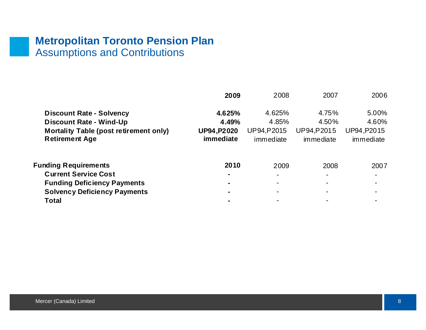## **Metropolitan Toronto Pension Plan** Assumptions and Contributions

|                                               | 2009               | 2008        | 2007        | 2006           |
|-----------------------------------------------|--------------------|-------------|-------------|----------------|
| <b>Discount Rate - Solvency</b>               | 4.625%             | 4.625%      | 4.75%       | 5.00%          |
| <b>Discount Rate - Wind-Up</b>                | 4.49%              | 4.85%       | 4.50%       | 4.60%          |
| <b>Mortality Table (post retirement only)</b> | <b>UP94, P2020</b> | UP94, P2015 | UP94, P2015 | UP94, P2015    |
| <b>Retirement Age</b>                         | immediate          | immediate   | immediate   | immediate      |
| <b>Funding Requirements</b>                   | 2010               | 2009        | 2008        | 2007           |
| <b>Current Service Cost</b>                   |                    |             |             |                |
| <b>Funding Deficiency Payments</b>            |                    |             |             | $\blacksquare$ |
| <b>Solvency Deficiency Payments</b>           |                    |             |             |                |
| <b>Total</b>                                  |                    |             |             |                |
|                                               |                    |             |             |                |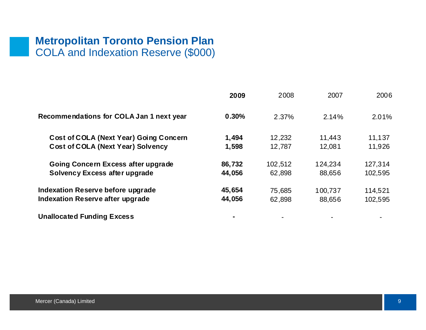## **Metropolitan Toronto Pension Plan** COLA and Indexation Reserve (\$000)

|                                               | 2009   | 2008    | 2007    | 2006    |
|-----------------------------------------------|--------|---------|---------|---------|
| Recommendations for COLA Jan 1 next year      | 0.30%  | 2.37%   | 2.14%   | 2.01%   |
| <b>Cost of COLA (Next Year) Going Concern</b> | 1,494  | 12,232  | 11,443  | 11,137  |
| <b>Cost of COLA (Next Year) Solvency</b>      | 1,598  | 12,787  | 12,081  | 11,926  |
| Going Concern Excess after upgrade            | 86,732 | 102,512 | 124,234 | 127,314 |
| Solvency Excess after upgrade                 | 44,056 | 62,898  | 88,656  | 102,595 |
| Indexation Reserve before upgrade             | 45,654 | 75,685  | 100,737 | 114,521 |
| Indexation Reserve after upgrade              | 44,056 | 62,898  | 88,656  | 102,595 |
| <b>Unallocated Funding Excess</b>             |        |         |         |         |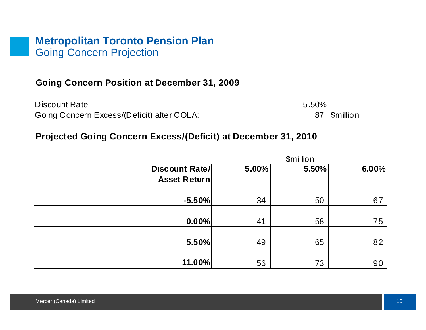#### **Metropolitan Toronto Pension Plan** Going Concern Projection

#### **Going Concern Position at December 31, 2009**

Discount Rate: 5.50%Going Concern Excess/(Deficit) after COLA: 87 \$million

#### **Projected Going Concern Excess/(Deficit) at December 31, 2010**

|                     |       | \$million |       |
|---------------------|-------|-----------|-------|
| Discount Rate/      | 5.00% | 5.50%     | 6.00% |
| <b>Asset Return</b> |       |           |       |
|                     |       |           |       |
| $-5.50%$            | 34    | 50        | 67    |
|                     |       |           |       |
| 0.00%               | 41    | 58        | 75    |
|                     |       |           |       |
| 5.50%               | 49    | 65        | 82    |
|                     |       |           |       |
| 11.00%              | 56    | 73        | 90    |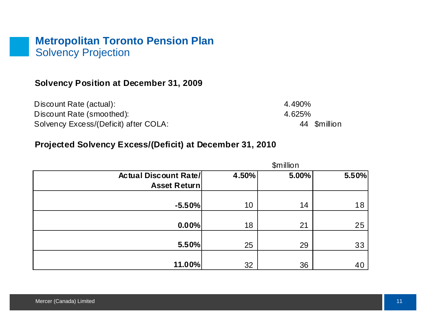#### **Metropolitan Toronto Pension Plan** Solvency Projection

#### **Solvency Position at December 31, 2009**

| Discount Rate (actual):               | 4.490%       |
|---------------------------------------|--------------|
| Discount Rate (smoothed):             | 4.625%       |
| Solvency Excess/(Deficit) after COLA: | 44 \$million |

#### **Projected Solvency Excess/(Deficit) at December 31, 2010**

|                              | \$million |       |       |  |  |
|------------------------------|-----------|-------|-------|--|--|
| <b>Actual Discount Rate/</b> | 4.50%     | 5.00% | 5.50% |  |  |
| <b>Asset Return</b>          |           |       |       |  |  |
|                              |           |       |       |  |  |
| $-5.50%$                     | 10        | 14    | 18    |  |  |
|                              |           |       |       |  |  |
| 0.00%                        | 18        | 21    | 25    |  |  |
|                              |           |       |       |  |  |
| 5.50%                        | 25        | 29    | 33    |  |  |
|                              |           |       |       |  |  |
| 11.00%                       | 32        | 36    | 40    |  |  |